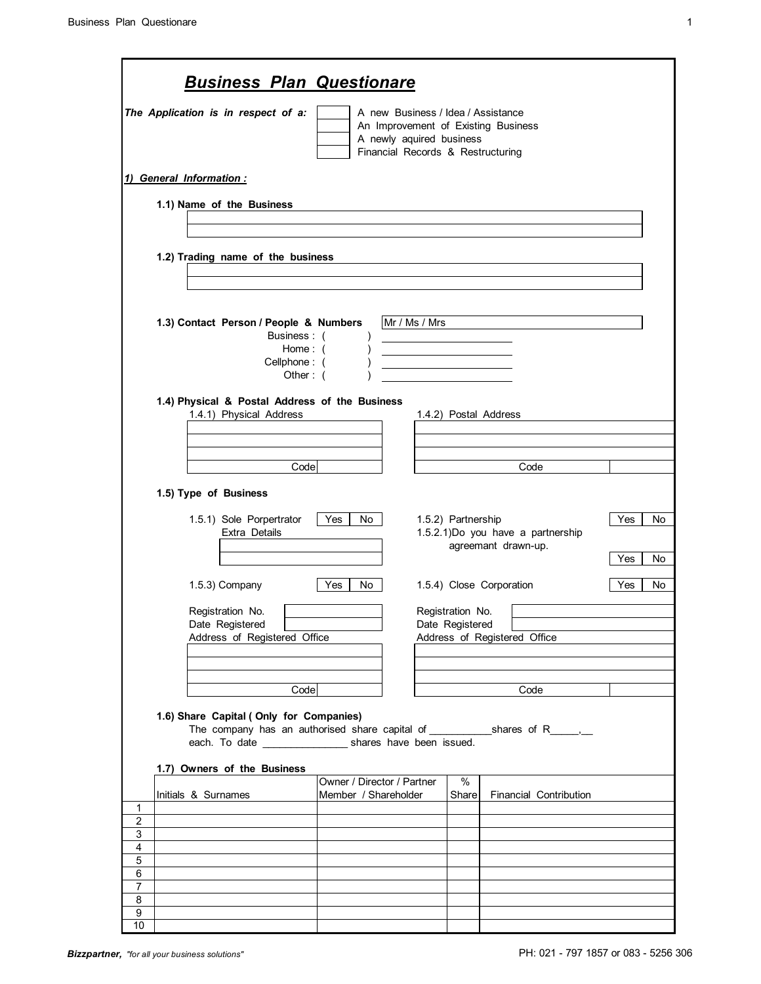F

| ۰. |
|----|
|    |
|    |
|    |
|    |
|    |
|    |

ī

| <b>Business Plan Questionare</b>                                                                         |                                                                                                     |                                                 |           |
|----------------------------------------------------------------------------------------------------------|-----------------------------------------------------------------------------------------------------|-------------------------------------------------|-----------|
| The Application is in respect of a:                                                                      | A new Business / Idea / Assistance<br>A newly aquired business<br>Financial Records & Restructuring | An Improvement of Existing Business             |           |
| 1) General Information :                                                                                 |                                                                                                     |                                                 |           |
| 1.1) Name of the Business                                                                                |                                                                                                     |                                                 |           |
|                                                                                                          |                                                                                                     |                                                 |           |
| 1.2) Trading name of the business                                                                        |                                                                                                     |                                                 |           |
|                                                                                                          |                                                                                                     |                                                 |           |
|                                                                                                          |                                                                                                     |                                                 |           |
| 1.3) Contact Person / People & Numbers<br>Business: (                                                    | Mr / Ms / Mrs                                                                                       |                                                 |           |
| Home: (                                                                                                  |                                                                                                     |                                                 |           |
| Cellphone: (<br>Other: $($                                                                               |                                                                                                     |                                                 |           |
|                                                                                                          |                                                                                                     |                                                 |           |
| 1.4) Physical & Postal Address of the Business<br>1.4.1) Physical Address                                |                                                                                                     | 1.4.2) Postal Address                           |           |
|                                                                                                          |                                                                                                     |                                                 |           |
|                                                                                                          |                                                                                                     |                                                 |           |
| Code                                                                                                     |                                                                                                     | Code                                            |           |
| 1.5) Type of Business                                                                                    |                                                                                                     |                                                 |           |
|                                                                                                          | Yes                                                                                                 | 1.5.2) Partnership                              | Yes       |
| 1.5.1) Sole Porpertrator<br>Extra Details                                                                | No                                                                                                  | 1.5.2.1)Do you have a partnership               | No        |
|                                                                                                          |                                                                                                     | agreemant drawn-up.                             | Yes       |
|                                                                                                          |                                                                                                     |                                                 | No        |
| 1.5.3) Company                                                                                           | Yes<br>No.                                                                                          | 1.5.4) Close Corporation                        | Yes<br>No |
| Registration No.                                                                                         |                                                                                                     | Registration No.                                |           |
| Date Registered<br>Address of Registered Office                                                          |                                                                                                     | Date Registered<br>Address of Registered Office |           |
|                                                                                                          |                                                                                                     |                                                 |           |
|                                                                                                          |                                                                                                     |                                                 |           |
| Code                                                                                                     |                                                                                                     | Code                                            |           |
| 1.6) Share Capital (Only for Companies)<br>each. To date ______________________ shares have been issued. |                                                                                                     |                                                 |           |
| 1.7) Owners of the Business                                                                              |                                                                                                     |                                                 |           |
| Initials & Surnames                                                                                      | Owner / Director / Partner<br>Member / Shareholder                                                  | $\%$<br>Share<br><b>Financial Contribution</b>  |           |
| $\mathbf 1$                                                                                              |                                                                                                     |                                                 |           |
| $\overline{c}$<br>3                                                                                      |                                                                                                     |                                                 |           |
| $\overline{4}$                                                                                           |                                                                                                     |                                                 |           |
| 5                                                                                                        |                                                                                                     |                                                 |           |
| 6<br>7                                                                                                   |                                                                                                     |                                                 |           |
| 8                                                                                                        |                                                                                                     |                                                 |           |
| 9<br>10                                                                                                  |                                                                                                     |                                                 |           |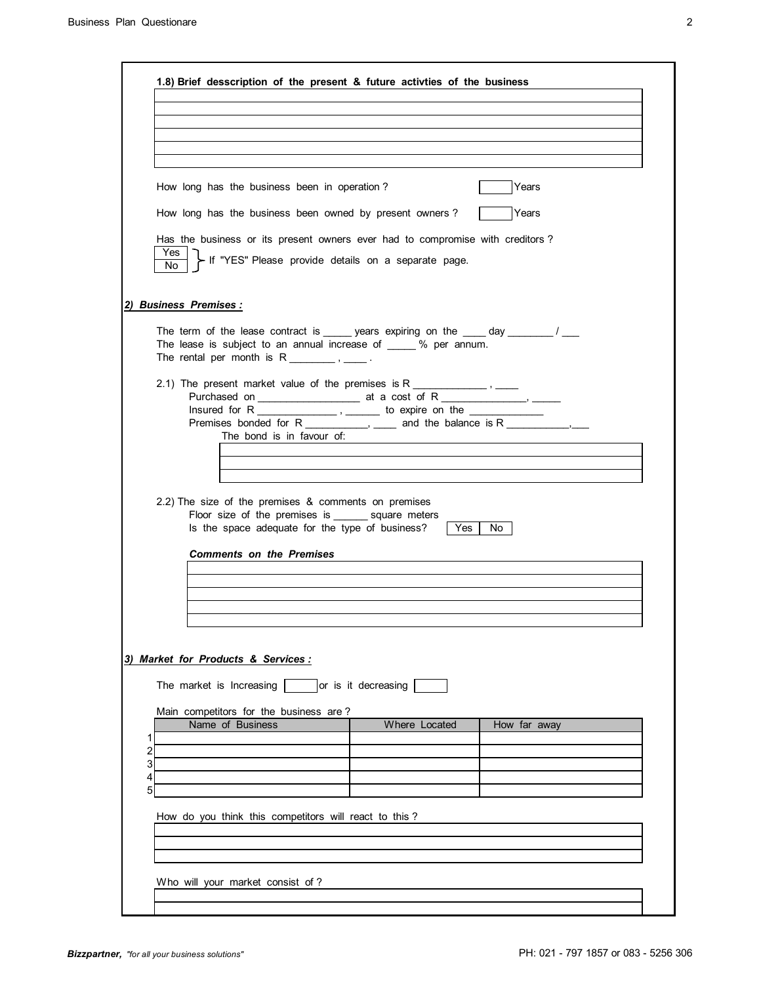| ٠<br>ı  |  |
|---------|--|
| I<br>I  |  |
| ۰,<br>I |  |
|         |  |
|         |  |

| Years<br>How long has the business been in operation?<br>How long has the business been owned by present owners?<br>Years<br>Has the business or its present owners ever had to compromise with creditors?<br>Yes<br>- If "YES" Please provide details on a separate page.<br>No.<br><b>Business Premises:</b><br>The term of the lease contract is ______ years expiring on the _____ day _________/ ___<br>The lease is subject to an annual increase of _____ % per annum.<br>Insured for R __________________, _________ to expire on the ___________________<br>Premises bonded for R ____________, _____ and the balance is R _____________, ___<br>The bond is in favour of:<br>2.2) The size of the premises $&$ comments on premises<br>Floor size of the premises is _______ square meters<br>Is the space adequate for the type of business?<br>∣ Yes I<br>No.<br><b>Comments on the Premises</b><br>Market for Products & Services:<br>The market is Increasing  <br>or is it decreasing<br>Main competitors for the business are?<br>Name of Business<br>Where Located<br>How far away<br>1<br>2<br>3 |  |  |
|--------------------------------------------------------------------------------------------------------------------------------------------------------------------------------------------------------------------------------------------------------------------------------------------------------------------------------------------------------------------------------------------------------------------------------------------------------------------------------------------------------------------------------------------------------------------------------------------------------------------------------------------------------------------------------------------------------------------------------------------------------------------------------------------------------------------------------------------------------------------------------------------------------------------------------------------------------------------------------------------------------------------------------------------------------------------------------------------------------------------|--|--|
|                                                                                                                                                                                                                                                                                                                                                                                                                                                                                                                                                                                                                                                                                                                                                                                                                                                                                                                                                                                                                                                                                                                    |  |  |
|                                                                                                                                                                                                                                                                                                                                                                                                                                                                                                                                                                                                                                                                                                                                                                                                                                                                                                                                                                                                                                                                                                                    |  |  |
|                                                                                                                                                                                                                                                                                                                                                                                                                                                                                                                                                                                                                                                                                                                                                                                                                                                                                                                                                                                                                                                                                                                    |  |  |
|                                                                                                                                                                                                                                                                                                                                                                                                                                                                                                                                                                                                                                                                                                                                                                                                                                                                                                                                                                                                                                                                                                                    |  |  |
|                                                                                                                                                                                                                                                                                                                                                                                                                                                                                                                                                                                                                                                                                                                                                                                                                                                                                                                                                                                                                                                                                                                    |  |  |
|                                                                                                                                                                                                                                                                                                                                                                                                                                                                                                                                                                                                                                                                                                                                                                                                                                                                                                                                                                                                                                                                                                                    |  |  |
|                                                                                                                                                                                                                                                                                                                                                                                                                                                                                                                                                                                                                                                                                                                                                                                                                                                                                                                                                                                                                                                                                                                    |  |  |
|                                                                                                                                                                                                                                                                                                                                                                                                                                                                                                                                                                                                                                                                                                                                                                                                                                                                                                                                                                                                                                                                                                                    |  |  |
|                                                                                                                                                                                                                                                                                                                                                                                                                                                                                                                                                                                                                                                                                                                                                                                                                                                                                                                                                                                                                                                                                                                    |  |  |
|                                                                                                                                                                                                                                                                                                                                                                                                                                                                                                                                                                                                                                                                                                                                                                                                                                                                                                                                                                                                                                                                                                                    |  |  |
|                                                                                                                                                                                                                                                                                                                                                                                                                                                                                                                                                                                                                                                                                                                                                                                                                                                                                                                                                                                                                                                                                                                    |  |  |
|                                                                                                                                                                                                                                                                                                                                                                                                                                                                                                                                                                                                                                                                                                                                                                                                                                                                                                                                                                                                                                                                                                                    |  |  |
|                                                                                                                                                                                                                                                                                                                                                                                                                                                                                                                                                                                                                                                                                                                                                                                                                                                                                                                                                                                                                                                                                                                    |  |  |
|                                                                                                                                                                                                                                                                                                                                                                                                                                                                                                                                                                                                                                                                                                                                                                                                                                                                                                                                                                                                                                                                                                                    |  |  |
|                                                                                                                                                                                                                                                                                                                                                                                                                                                                                                                                                                                                                                                                                                                                                                                                                                                                                                                                                                                                                                                                                                                    |  |  |
|                                                                                                                                                                                                                                                                                                                                                                                                                                                                                                                                                                                                                                                                                                                                                                                                                                                                                                                                                                                                                                                                                                                    |  |  |
|                                                                                                                                                                                                                                                                                                                                                                                                                                                                                                                                                                                                                                                                                                                                                                                                                                                                                                                                                                                                                                                                                                                    |  |  |
| 4<br>5                                                                                                                                                                                                                                                                                                                                                                                                                                                                                                                                                                                                                                                                                                                                                                                                                                                                                                                                                                                                                                                                                                             |  |  |
|                                                                                                                                                                                                                                                                                                                                                                                                                                                                                                                                                                                                                                                                                                                                                                                                                                                                                                                                                                                                                                                                                                                    |  |  |
| How do you think this competitors will react to this?                                                                                                                                                                                                                                                                                                                                                                                                                                                                                                                                                                                                                                                                                                                                                                                                                                                                                                                                                                                                                                                              |  |  |
|                                                                                                                                                                                                                                                                                                                                                                                                                                                                                                                                                                                                                                                                                                                                                                                                                                                                                                                                                                                                                                                                                                                    |  |  |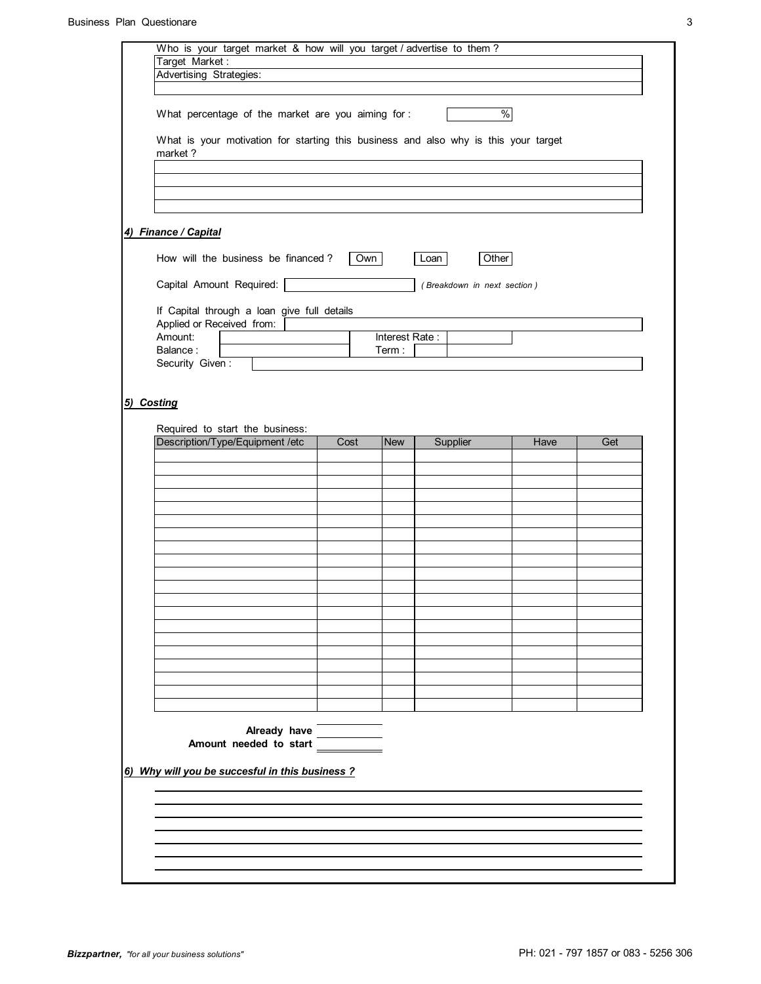|                                                                                                                                                                                        |                                                                         | $\frac{8}{2}$                      |                                                                                                                                     |
|----------------------------------------------------------------------------------------------------------------------------------------------------------------------------------------|-------------------------------------------------------------------------|------------------------------------|-------------------------------------------------------------------------------------------------------------------------------------|
|                                                                                                                                                                                        |                                                                         |                                    |                                                                                                                                     |
|                                                                                                                                                                                        |                                                                         |                                    |                                                                                                                                     |
|                                                                                                                                                                                        |                                                                         |                                    |                                                                                                                                     |
|                                                                                                                                                                                        |                                                                         |                                    |                                                                                                                                     |
|                                                                                                                                                                                        |                                                                         |                                    |                                                                                                                                     |
|                                                                                                                                                                                        |                                                                         |                                    |                                                                                                                                     |
|                                                                                                                                                                                        |                                                                         |                                    |                                                                                                                                     |
|                                                                                                                                                                                        |                                                                         |                                    |                                                                                                                                     |
|                                                                                                                                                                                        |                                                                         |                                    |                                                                                                                                     |
| Term:                                                                                                                                                                                  |                                                                         |                                    |                                                                                                                                     |
|                                                                                                                                                                                        |                                                                         |                                    |                                                                                                                                     |
|                                                                                                                                                                                        |                                                                         |                                    |                                                                                                                                     |
|                                                                                                                                                                                        |                                                                         |                                    |                                                                                                                                     |
|                                                                                                                                                                                        |                                                                         |                                    |                                                                                                                                     |
|                                                                                                                                                                                        |                                                                         |                                    |                                                                                                                                     |
|                                                                                                                                                                                        |                                                                         |                                    |                                                                                                                                     |
|                                                                                                                                                                                        |                                                                         |                                    |                                                                                                                                     |
|                                                                                                                                                                                        |                                                                         |                                    |                                                                                                                                     |
|                                                                                                                                                                                        |                                                                         |                                    |                                                                                                                                     |
|                                                                                                                                                                                        |                                                                         |                                    |                                                                                                                                     |
|                                                                                                                                                                                        |                                                                         |                                    |                                                                                                                                     |
|                                                                                                                                                                                        |                                                                         |                                    |                                                                                                                                     |
|                                                                                                                                                                                        |                                                                         |                                    |                                                                                                                                     |
|                                                                                                                                                                                        |                                                                         |                                    |                                                                                                                                     |
|                                                                                                                                                                                        |                                                                         |                                    |                                                                                                                                     |
|                                                                                                                                                                                        |                                                                         |                                    |                                                                                                                                     |
|                                                                                                                                                                                        |                                                                         |                                    |                                                                                                                                     |
|                                                                                                                                                                                        |                                                                         |                                    |                                                                                                                                     |
|                                                                                                                                                                                        |                                                                         |                                    |                                                                                                                                     |
|                                                                                                                                                                                        |                                                                         |                                    |                                                                                                                                     |
|                                                                                                                                                                                        |                                                                         |                                    |                                                                                                                                     |
| How will the business be financed?<br>If Capital through a loan give full details<br>Cost<br>Already have<br>Amount needed to start<br>6) Why will you be succesful in this business ? | What percentage of the market are you aiming for :<br>Own<br><b>New</b> | Loan<br>Interest Rate:<br>Supplier | What is your motivation for starting this business and also why is this your target<br>Other<br>(Breakdown in next section)<br>Have |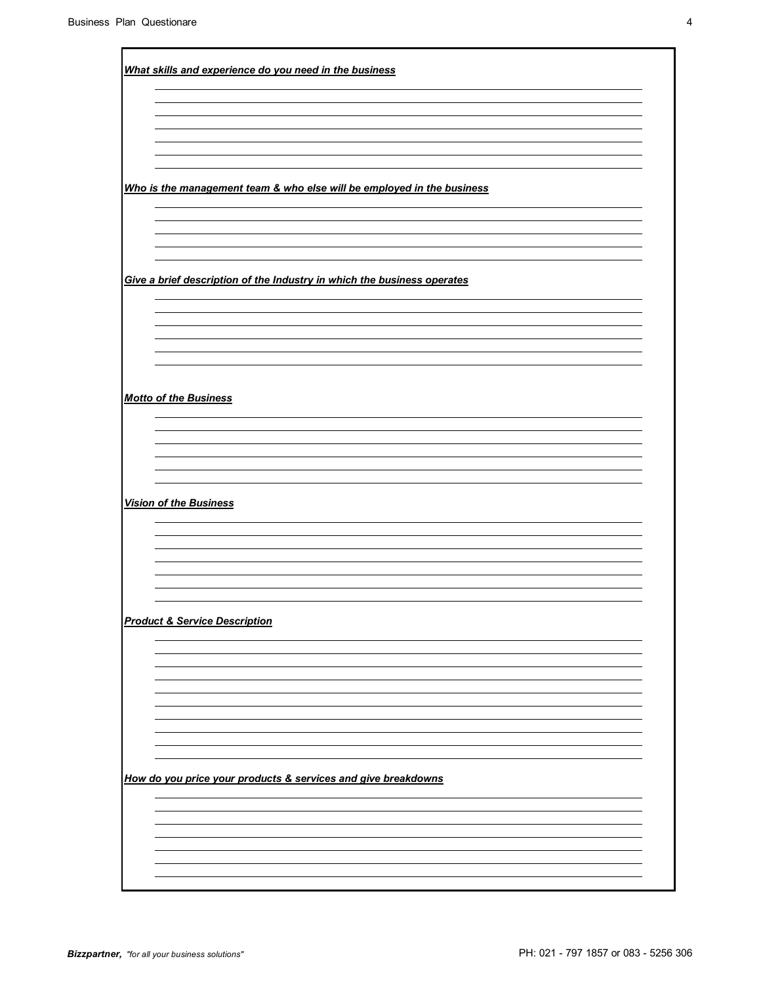| What skills and experience do you need in the business                  |
|-------------------------------------------------------------------------|
|                                                                         |
|                                                                         |
|                                                                         |
|                                                                         |
|                                                                         |
|                                                                         |
|                                                                         |
|                                                                         |
| Who is the management team & who else will be employed in the business  |
|                                                                         |
|                                                                         |
|                                                                         |
|                                                                         |
|                                                                         |
| Give a brief description of the Industry in which the business operates |
|                                                                         |
|                                                                         |
|                                                                         |
|                                                                         |
|                                                                         |
|                                                                         |
|                                                                         |
|                                                                         |
| <b>Motto of the Business</b>                                            |
|                                                                         |
|                                                                         |
|                                                                         |
|                                                                         |
|                                                                         |
|                                                                         |
|                                                                         |
|                                                                         |
| <b>Vision of the Business</b>                                           |
|                                                                         |
|                                                                         |
|                                                                         |
|                                                                         |
|                                                                         |
|                                                                         |
|                                                                         |
| <b>Product &amp; Service Description</b>                                |
|                                                                         |
|                                                                         |
|                                                                         |
|                                                                         |
|                                                                         |
|                                                                         |
|                                                                         |
|                                                                         |
|                                                                         |
|                                                                         |
| How do you price your products & services and give breakdowns           |
|                                                                         |
|                                                                         |
|                                                                         |
|                                                                         |
|                                                                         |
|                                                                         |
|                                                                         |